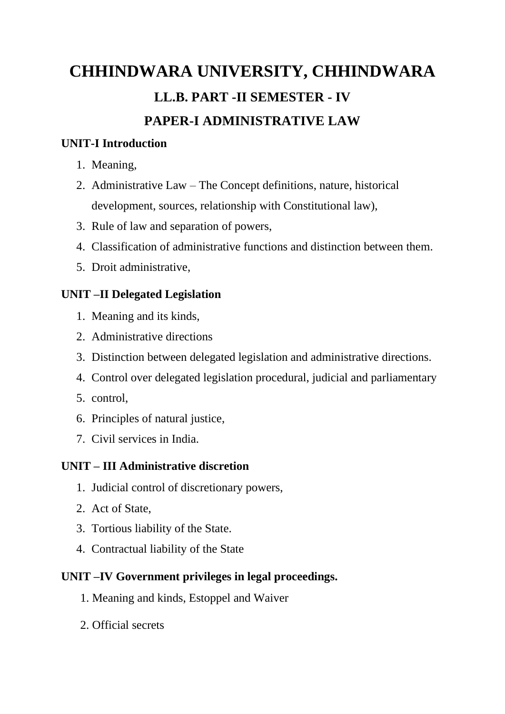# **CHHINDWARA UNIVERSITY, CHHINDWARA LL.B. PART -II SEMESTER - IV PAPER-I ADMINISTRATIVE LAW**

#### **UNIT-I Introduction**

- 1. Meaning,
- 2. Administrative Law The Concept definitions, nature, historical development, sources, relationship with Constitutional law),
- 3. Rule of law and separation of powers,
- 4. Classification of administrative functions and distinction between them.
- 5. Droit administrative,

#### **UNIT –II Delegated Legislation**

- 1. Meaning and its kinds,
- 2. Administrative directions
- 3. Distinction between delegated legislation and administrative directions.
- 4. Control over delegated legislation procedural, judicial and parliamentary
- 5. control,
- 6. Principles of natural justice,
- 7. Civil services in India.

#### **UNIT – III Administrative discretion**

- 1. Judicial control of discretionary powers,
- 2. Act of State,
- 3. Tortious liability of the State.
- 4. Contractual liability of the State

#### **UNIT –IV Government privileges in legal proceedings.**

- 1. Meaning and kinds, Estoppel and Waiver
- 2. Official secrets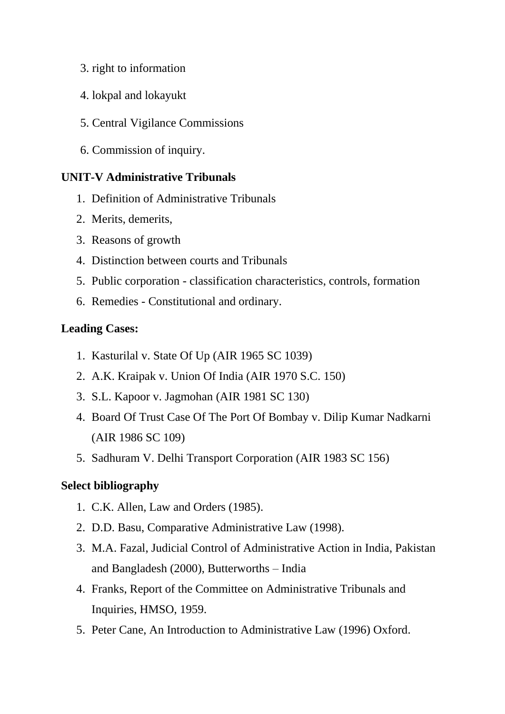- 3. right to information
- 4. lokpal and lokayukt
- 5. Central Vigilance Commissions
- 6. Commission of inquiry.

#### **UNIT-V Administrative Tribunals**

- 1. Definition of Administrative Tribunals
- 2. Merits, demerits,
- 3. Reasons of growth
- 4. Distinction between courts and Tribunals
- 5. Public corporation classification characteristics, controls, formation
- 6. Remedies Constitutional and ordinary.

#### **Leading Cases:**

- 1. Kasturilal v. State Of Up (AIR 1965 SC 1039)
- 2. A.K. Kraipak v. Union Of India (AIR 1970 S.C. 150)
- 3. S.L. Kapoor v. Jagmohan (AIR 1981 SC 130)
- 4. Board Of Trust Case Of The Port Of Bombay v. Dilip Kumar Nadkarni (AIR 1986 SC 109)
- 5. Sadhuram V. Delhi Transport Corporation (AIR 1983 SC 156)

#### **Select bibliography**

- 1. C.K. Allen, Law and Orders (1985).
- 2. D.D. Basu, Comparative Administrative Law (1998).
- 3. M.A. Fazal, Judicial Control of Administrative Action in India, Pakistan and Bangladesh (2000), Butterworths – India
- 4. Franks, Report of the Committee on Administrative Tribunals and Inquiries, HMSO, 1959.
- 5. Peter Cane, An Introduction to Administrative Law (1996) Oxford.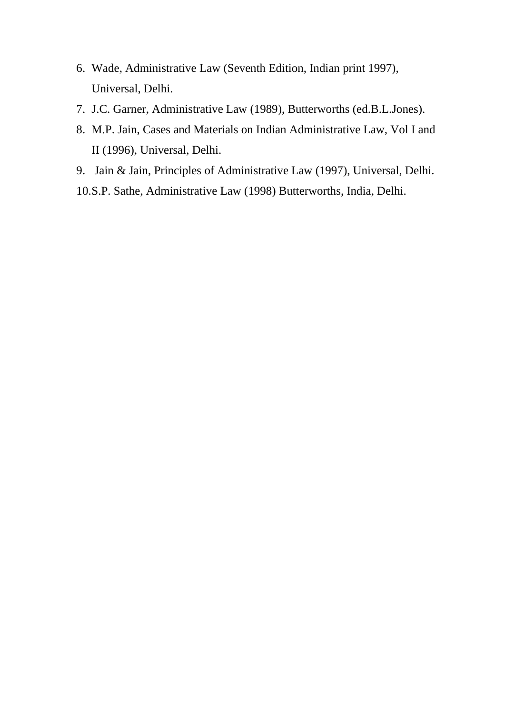- 6. Wade, Administrative Law (Seventh Edition, Indian print 1997), Universal, Delhi.
- 7. J.C. Garner, Administrative Law (1989), Butterworths (ed.B.L.Jones).
- 8. M.P. Jain, Cases and Materials on Indian Administrative Law, Vol I and II (1996), Universal, Delhi.
- 9. Jain & Jain, Principles of Administrative Law (1997), Universal, Delhi.
- 10.S.P. Sathe, Administrative Law (1998) Butterworths, India, Delhi.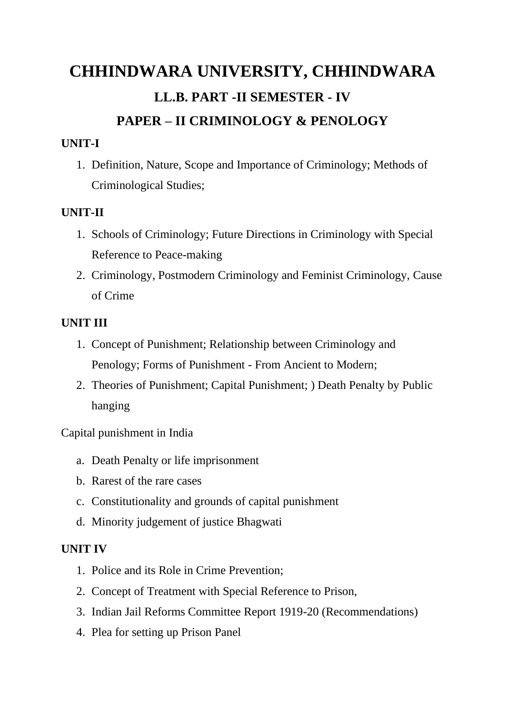# **CHHINDWARA UNIVERSITY, CHHINDWARA LL.B. PART -II SEMESTER - IV PAPER – II CRIMINOLOGY & PENOLOGY**

#### **UNIT-I**

1. Definition, Nature, Scope and Importance of Criminology; Methods of Criminological Studies;

#### **UNIT-II**

- 1. Schools of Criminology; Future Directions in Criminology with Special Reference to Peace-making
- 2. Criminology, Postmodern Criminology and Feminist Criminology, Cause of Crime

#### **UNIT III**

- 1. Concept of Punishment; Relationship between Criminology and Penology; Forms of Punishment - From Ancient to Modern;
- 2. Theories of Punishment; Capital Punishment; ) Death Penalty by Public hanging

Capital punishment in India

- a. Death Penalty or life imprisonment
- b. Rarest of the rare cases
- c. Constitutionality and grounds of capital punishment
- d. Minority judgement of justice Bhagwati

#### **UNIT IV**

- 1. Police and its Role in Crime Prevention;
- 2. Concept of Treatment with Special Reference to Prison,
- 3. Indian Jail Reforms Committee Report 1919-20 (Recommendations)
- 4. Plea for setting up Prison Panel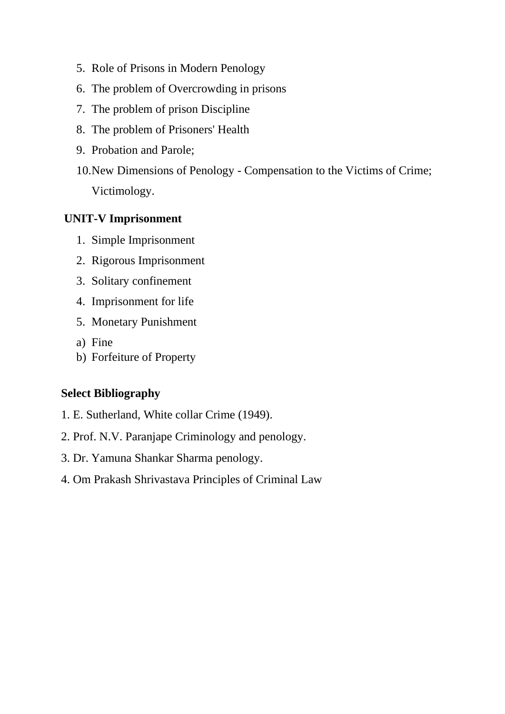- 5. Role of Prisons in Modern Penology
- 6. The problem of Overcrowding in prisons
- 7. The problem of prison Discipline
- 8. The problem of Prisoners' Health
- 9. Probation and Parole;
- 10.New Dimensions of Penology Compensation to the Victims of Crime; Victimology.

#### **UNIT-V Imprisonment**

- 1. Simple Imprisonment
- 2. Rigorous Imprisonment
- 3. Solitary confinement
- 4. Imprisonment for life
- 5. Monetary Punishment
- a) Fine
- b) Forfeiture of Property

#### **Select Bibliography**

- 1. E. Sutherland, White collar Crime (1949).
- 2. Prof. N.V. Paranjape Criminology and penology.
- 3. Dr. Yamuna Shankar Sharma penology.
- 4. Om Prakash Shrivastava Principles of Criminal Law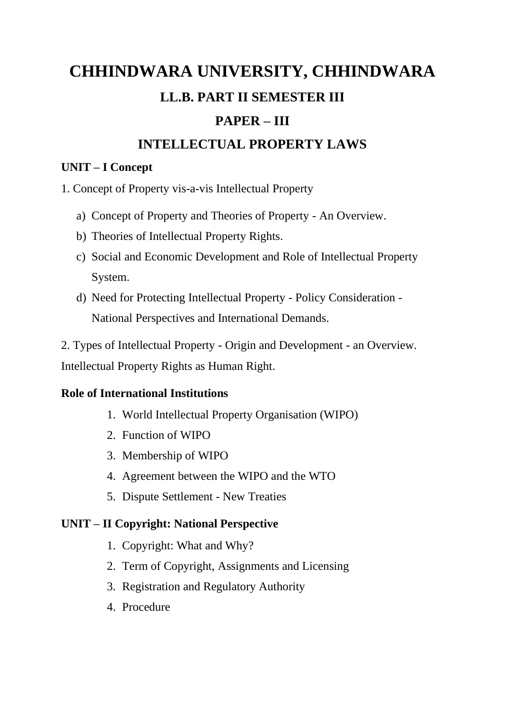# **CHHINDWARA UNIVERSITY, CHHINDWARA LL.B. PART II SEMESTER III**

## **PAPER – III**

## **INTELLECTUAL PROPERTY LAWS**

#### **UNIT – I Concept**

1. Concept of Property vis-a-vis Intellectual Property

- a) Concept of Property and Theories of Property An Overview.
- b) Theories of Intellectual Property Rights.
- c) Social and Economic Development and Role of Intellectual Property System.
- d) Need for Protecting Intellectual Property Policy Consideration National Perspectives and International Demands.

2. Types of Intellectual Property - Origin and Development - an Overview. Intellectual Property Rights as Human Right.

### **Role of International Institutions**

- 1. World Intellectual Property Organisation (WIPO)
- 2. Function of WIPO
- 3. Membership of WIPO
- 4. Agreement between the WIPO and the WTO
- 5. Dispute Settlement New Treaties

### **UNIT – II Copyright: National Perspective**

- 1. Copyright: What and Why?
- 2. Term of Copyright, Assignments and Licensing
- 3. Registration and Regulatory Authority
- 4. Procedure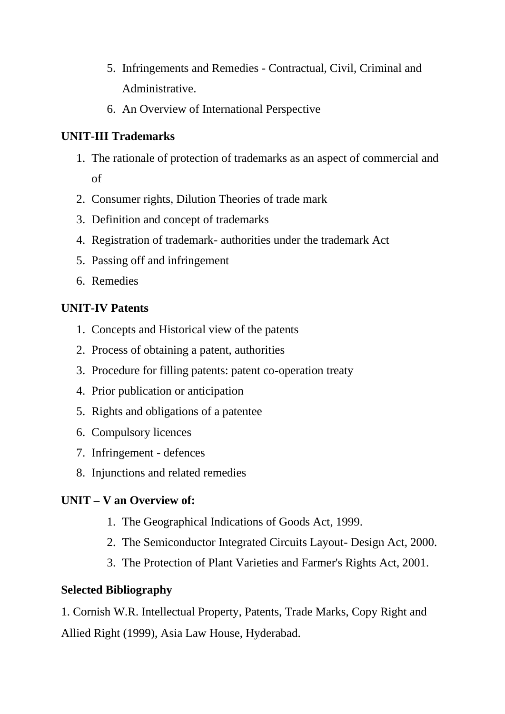- 5. Infringements and Remedies Contractual, Civil, Criminal and Administrative.
- 6. An Overview of International Perspective

#### **UNIT-III Trademarks**

- 1. The rationale of protection of trademarks as an aspect of commercial and of
- 2. Consumer rights, Dilution Theories of trade mark
- 3. Definition and concept of trademarks
- 4. Registration of trademark- authorities under the trademark Act
- 5. Passing off and infringement
- 6. Remedies

#### **UNIT-IV Patents**

- 1. Concepts and Historical view of the patents
- 2. Process of obtaining a patent, authorities
- 3. Procedure for filling patents: patent co-operation treaty
- 4. Prior publication or anticipation
- 5. Rights and obligations of a patentee
- 6. Compulsory licences
- 7. Infringement defences
- 8. Injunctions and related remedies

#### **UNIT – V an Overview of:**

- 1. The Geographical Indications of Goods Act, 1999.
- 2. The Semiconductor Integrated Circuits Layout- Design Act, 2000.
- 3. The Protection of Plant Varieties and Farmer's Rights Act, 2001.

#### **Selected Bibliography**

1. Cornish W.R. Intellectual Property, Patents, Trade Marks, Copy Right and Allied Right (1999), Asia Law House, Hyderabad.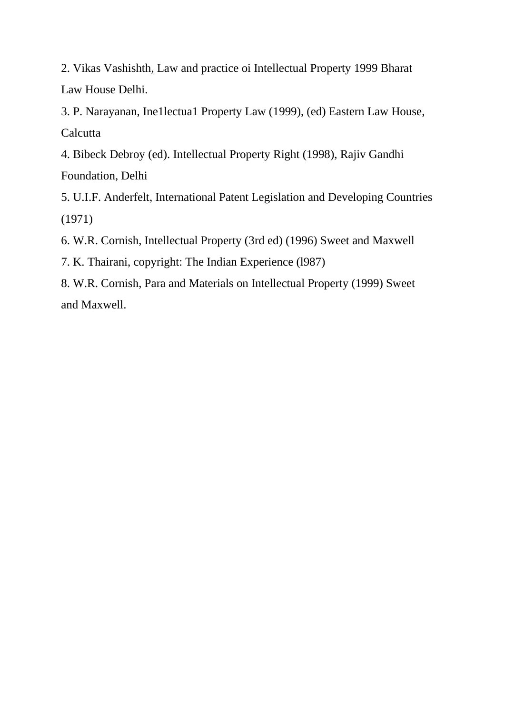2. Vikas Vashishth, Law and practice oi Intellectual Property 1999 Bharat Law House Delhi.

3. P. Narayanan, Ine1lectua1 Property Law (1999), (ed) Eastern Law House, **Calcutta** 

4. Bibeck Debroy (ed). Intellectual Property Right (1998), Rajiv Gandhi Foundation, Delhi

5. U.I.F. Anderfelt, International Patent Legislation and Developing Countries (1971)

6. W.R. Cornish, Intellectual Property (3rd ed) (1996) Sweet and Maxwell

7. K. Thairani, copyright: The Indian Experience (l987)

8. W.R. Cornish, Para and Materials on Intellectual Property (1999) Sweet and Maxwell.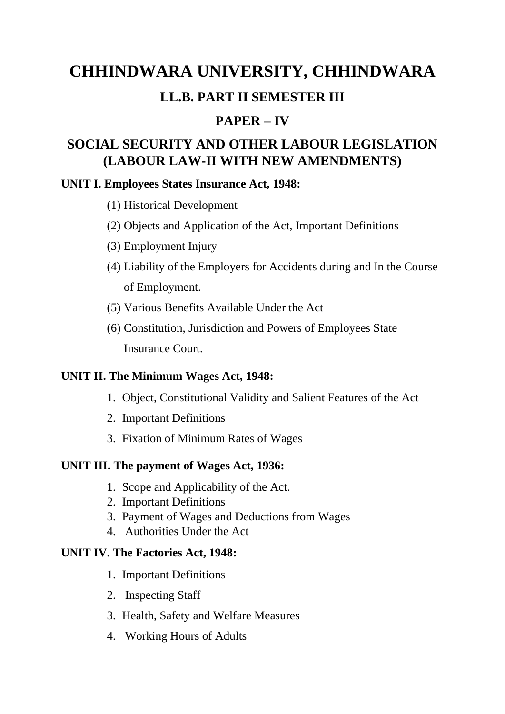## **CHHINDWARA UNIVERSITY, CHHINDWARA**

## **LL.B. PART II SEMESTER III**

## **PAPER – IV**

## **SOCIAL SECURITY AND OTHER LABOUR LEGISLATION (LABOUR LAW-II WITH NEW AMENDMENTS)**

#### **UNIT I. Employees States Insurance Act, 1948:**

- (1) Historical Development
- (2) Objects and Application of the Act, Important Definitions
- (3) Employment Injury
- (4) Liability of the Employers for Accidents during and In the Course of Employment.
- (5) Various Benefits Available Under the Act
- (6) Constitution, Jurisdiction and Powers of Employees State Insurance Court.

#### **UNIT II. The Minimum Wages Act, 1948:**

- 1. Object, Constitutional Validity and Salient Features of the Act
- 2. Important Definitions
- 3. Fixation of Minimum Rates of Wages

#### **UNIT III. The payment of Wages Act, 1936:**

- 1. Scope and Applicability of the Act.
- 2. Important Definitions
- 3. Payment of Wages and Deductions from Wages
- 4. Authorities Under the Act

#### **UNIT IV. The Factories Act, 1948:**

- 1. Important Definitions
- 2. Inspecting Staff
- 3. Health, Safety and Welfare Measures
- 4. Working Hours of Adults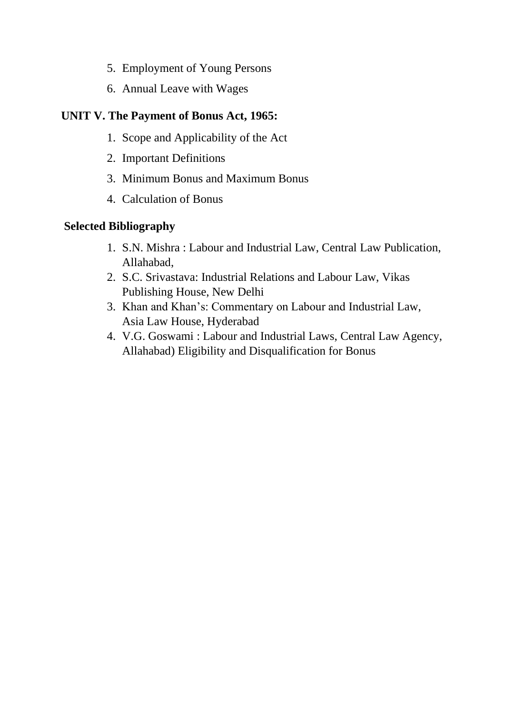- 5. Employment of Young Persons
- 6. Annual Leave with Wages

#### **UNIT V. The Payment of Bonus Act, 1965:**

- 1. Scope and Applicability of the Act
- 2. Important Definitions
- 3. Minimum Bonus and Maximum Bonus
- 4. Calculation of Bonus

#### **Selected Bibliography**

- 1. S.N. Mishra : Labour and Industrial Law, Central Law Publication, Allahabad,
- 2. S.C. Srivastava: Industrial Relations and Labour Law, Vikas Publishing House, New Delhi
- 3. Khan and Khan's: Commentary on Labour and Industrial Law, Asia Law House, Hyderabad
- 4. V.G. Goswami : Labour and Industrial Laws, Central Law Agency, Allahabad) Eligibility and Disqualification for Bonus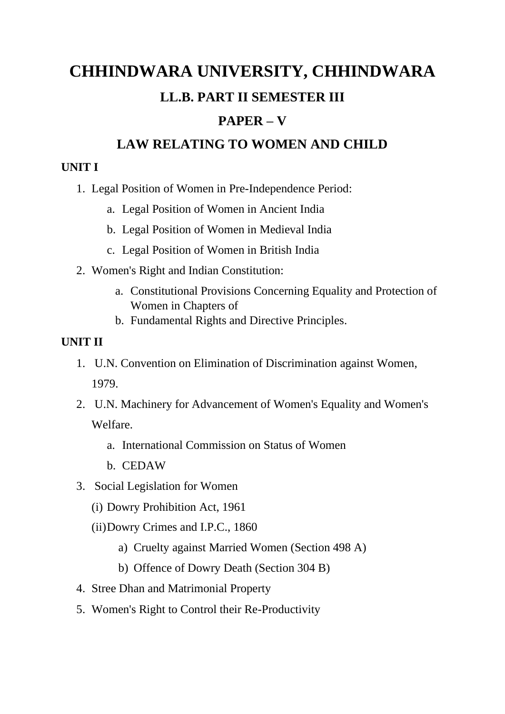# **CHHINDWARA UNIVERSITY, CHHINDWARA LL.B. PART II SEMESTER III**

## **PAPER – V**

## **LAW RELATING TO WOMEN AND CHILD**

#### **UNIT I**

- 1. Legal Position of Women in Pre-Independence Period:
	- a. Legal Position of Women in Ancient India
	- b. Legal Position of Women in Medieval India
	- c. Legal Position of Women in British India
- 2. Women's Right and Indian Constitution:
	- a. Constitutional Provisions Concerning Equality and Protection of Women in Chapters of
	- b. Fundamental Rights and Directive Principles.

## **UNIT II**

- 1. U.N. Convention on Elimination of Discrimination against Women, 1979.
- 2. U.N. Machinery for Advancement of Women's Equality and Women's Welfare.
	- a. International Commission on Status of Women
	- b. CEDAW
- 3. Social Legislation for Women
	- (i) Dowry Prohibition Act, 1961
	- (ii)Dowry Crimes and I.P.C., 1860
		- a) Cruelty against Married Women (Section 498 A)
		- b) Offence of Dowry Death (Section 304 B)
- 4. Stree Dhan and Matrimonial Property
- 5. Women's Right to Control their Re-Productivity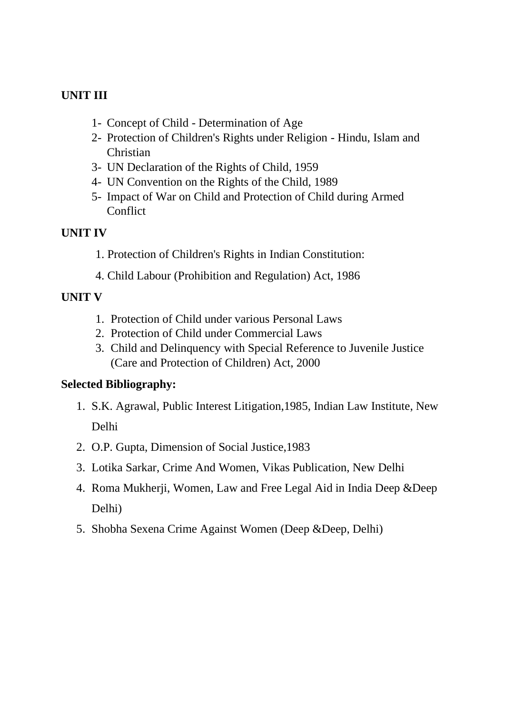#### **UNIT III**

- 1- Concept of Child Determination of Age
- 2- Protection of Children's Rights under Religion Hindu, Islam and **Christian**
- 3- UN Declaration of the Rights of Child, 1959
- 4- UN Convention on the Rights of the Child, 1989
- 5- Impact of War on Child and Protection of Child during Armed **Conflict**

#### **UNIT IV**

- 1. Protection of Children's Rights in Indian Constitution:
- 4. Child Labour (Prohibition and Regulation) Act, 1986

#### **UNIT V**

- 1. Protection of Child under various Personal Laws
- 2. Protection of Child under Commercial Laws
- 3. Child and Delinquency with Special Reference to Juvenile Justice (Care and Protection of Children) Act, 2000

#### **Selected Bibliography:**

- 1. S.K. Agrawal, Public Interest Litigation,1985, Indian Law Institute, New Delhi
- 2. O.P. Gupta, Dimension of Social Justice,1983
- 3. Lotika Sarkar, Crime And Women, Vikas Publication, New Delhi
- 4. Roma Mukherji, Women, Law and Free Legal Aid in India Deep &Deep Delhi)
- 5. Shobha Sexena Crime Against Women (Deep &Deep, Delhi)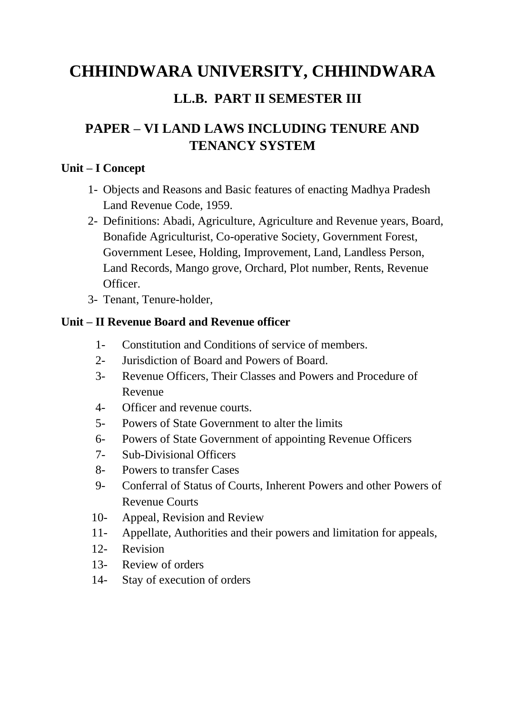## **CHHINDWARA UNIVERSITY, CHHINDWARA**

## **LL.B. PART II SEMESTER III**

## **PAPER – VI LAND LAWS INCLUDING TENURE AND TENANCY SYSTEM**

#### **Unit – I Concept**

- 1- Objects and Reasons and Basic features of enacting Madhya Pradesh Land Revenue Code, 1959.
- 2- Definitions: Abadi, Agriculture, Agriculture and Revenue years, Board, Bonafide Agriculturist, Co-operative Society, Government Forest, Government Lesee, Holding, Improvement, Land, Landless Person, Land Records, Mango grove, Orchard, Plot number, Rents, Revenue Officer.
- 3- Tenant, Tenure-holder,

#### **Unit – II Revenue Board and Revenue officer**

- 1- Constitution and Conditions of service of members.
- 2- Jurisdiction of Board and Powers of Board.
- 3- Revenue Officers, Their Classes and Powers and Procedure of Revenue
- 4- Officer and revenue courts.
- 5- Powers of State Government to alter the limits
- 6- Powers of State Government of appointing Revenue Officers
- 7- Sub-Divisional Officers
- 8- Powers to transfer Cases
- 9- Conferral of Status of Courts, Inherent Powers and other Powers of Revenue Courts
- 10- Appeal, Revision and Review
- 11- Appellate, Authorities and their powers and limitation for appeals,
- 12- Revision
- 13- Review of orders
- 14- Stay of execution of orders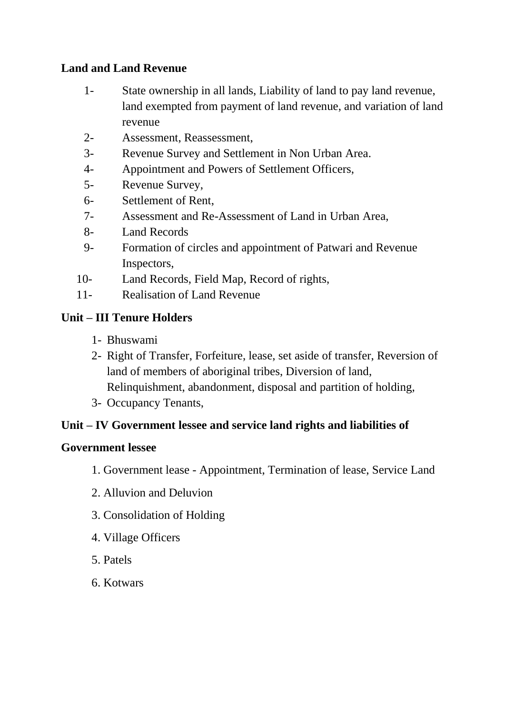#### **Land and Land Revenue**

- 1- State ownership in all lands, Liability of land to pay land revenue, land exempted from payment of land revenue, and variation of land revenue
- 2- Assessment, Reassessment,
- 3- Revenue Survey and Settlement in Non Urban Area.
- 4- Appointment and Powers of Settlement Officers,
- 5- Revenue Survey,
- 6- Settlement of Rent,
- 7- Assessment and Re-Assessment of Land in Urban Area,
- 8- Land Records
- 9- Formation of circles and appointment of Patwari and Revenue Inspectors,
- 10- Land Records, Field Map, Record of rights,
- 11- Realisation of Land Revenue

#### **Unit – III Tenure Holders**

- 1- Bhuswami
- 2- Right of Transfer, Forfeiture, lease, set aside of transfer, Reversion of land of members of aboriginal tribes, Diversion of land, Relinquishment, abandonment, disposal and partition of holding,
- 3- Occupancy Tenants,

#### **Unit – IV Government lessee and service land rights and liabilities of**

#### **Government lessee**

- 1. Government lease Appointment, Termination of lease, Service Land
- 2. Alluvion and Deluvion
- 3. Consolidation of Holding
- 4. Village Officers
- 5. Patels
- 6. Kotwars